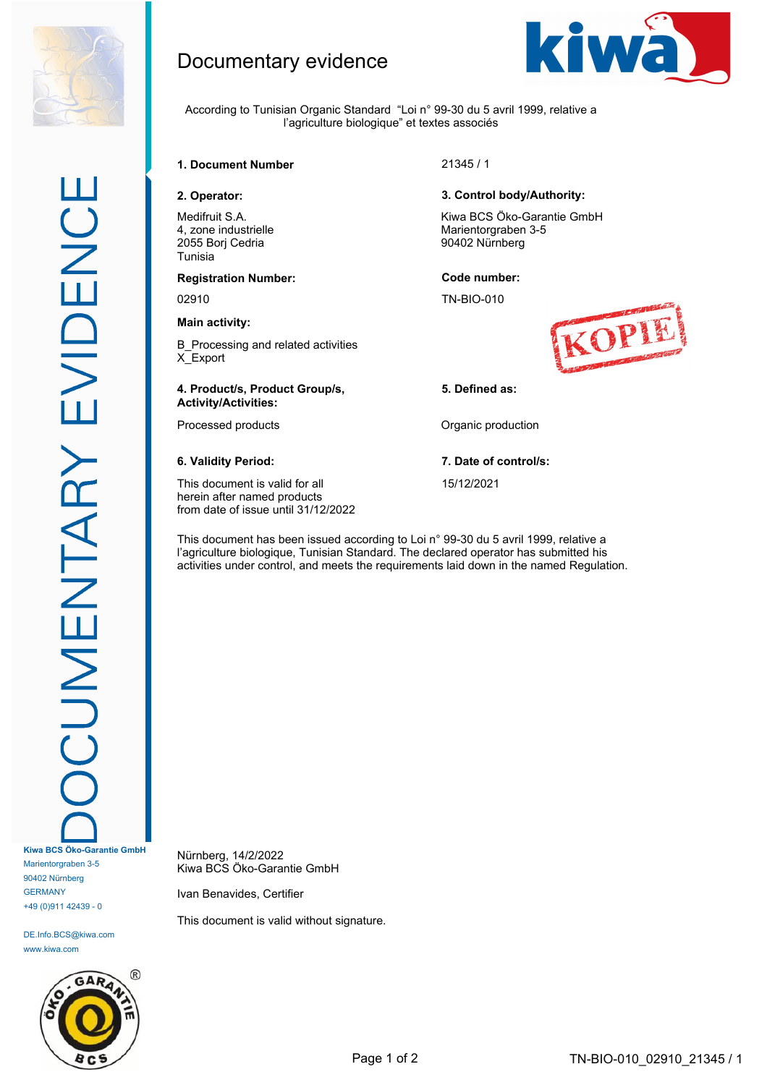

According to Tunisian Organic Standard "Loi n° 99-30 du 5 avril 1999, relative a

l'agriculture biologique" et textes associés



Documentary evidence

Medifruit S.A. 4, zone industrielle 2055 Borj Cedria Tunisia

# **Registration Number: Code number:**

### **Main activity:**

B\_Processing and related activities X\_Export

### **4. Product/s, Product Group/s, Activity/Activities:**

This document is valid for all herein after named products from date of issue until 31/12/2022

### **2. Operator: 3. Control body/Authority:**

Kiwa BCS Öko-Garantie GmbH Marientorgraben 3-5 90402 Nürnberg

02910 TN-BIO-010



### **5. Defined as:**

Processed products **Contact Contact Processed production** 

# **6. Validity Period: 7. Date of control/s:**

15/12/2021

This document has been issued according to Loi n° 99-30 du 5 avril 1999, relative a l'agriculture biologique, Tunisian Standard. The declared operator has submitted his activities under control, and meets the requirements laid down in the named Regulation.

**Kiwa BCS Öko-Garantie GmbH** Marientorgraben 3-5 90402 Nürnberg **GERMANY** +49 (0)911 42439 - 0

DE.Info.BCS@kiwa.com www.kiwa.com



Nürnberg, 14/2/2022 Kiwa BCS Öko-Garantie GmbH

Ivan Benavides, Certifier

This document is valid without signature.